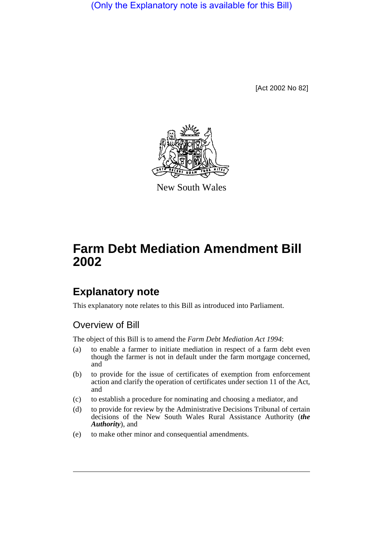(Only the Explanatory note is available for this Bill)

[Act 2002 No 82]



New South Wales

# **Farm Debt Mediation Amendment Bill 2002**

## **Explanatory note**

This explanatory note relates to this Bill as introduced into Parliament.

### Overview of Bill

The object of this Bill is to amend the *Farm Debt Mediation Act 1994*:

- (a) to enable a farmer to initiate mediation in respect of a farm debt even though the farmer is not in default under the farm mortgage concerned, and
- (b) to provide for the issue of certificates of exemption from enforcement action and clarify the operation of certificates under section 11 of the Act, and
- (c) to establish a procedure for nominating and choosing a mediator, and
- (d) to provide for review by the Administrative Decisions Tribunal of certain decisions of the New South Wales Rural Assistance Authority (*the Authority*), and
- (e) to make other minor and consequential amendments.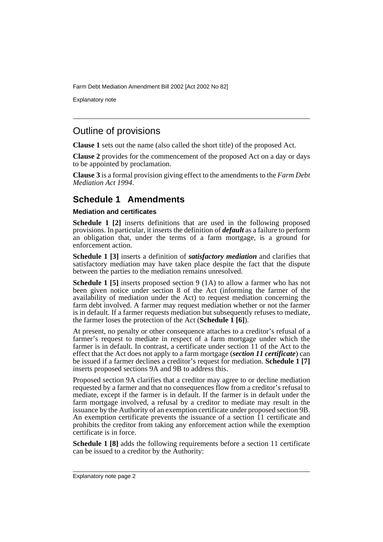Farm Debt Mediation Amendment Bill 2002 [Act 2002 No 82]

Explanatory note

### Outline of provisions

**Clause 1** sets out the name (also called the short title) of the proposed Act.

**Clause 2** provides for the commencement of the proposed Act on a day or days to be appointed by proclamation.

**Clause 3** is a formal provision giving effect to the amendments to the *Farm Debt Mediation Act 1994*.

### **Schedule 1 Amendments**

### **Mediation and certificates**

**Schedule 1 [2]** inserts definitions that are used in the following proposed provisions. In particular, it inserts the definition of *default* as a failure to perform an obligation that, under the terms of a farm mortgage, is a ground for enforcement action.

**Schedule 1 [3]** inserts a definition of *satisfactory mediation* and clarifies that satisfactory mediation may have taken place despite the fact that the dispute between the parties to the mediation remains unresolved.

**Schedule 1 [5]** inserts proposed section 9 (1A) to allow a farmer who has not been given notice under section 8 of the Act (informing the farmer of the availability of mediation under the Act) to request mediation concerning the farm debt involved. A farmer may request mediation whether or not the farmer is in default. If a farmer requests mediation but subsequently refuses to mediate, the farmer loses the protection of the Act (**Schedule 1 [6]**).

At present, no penalty or other consequence attaches to a creditor's refusal of a farmer's request to mediate in respect of a farm mortgage under which the farmer is in default. In contrast, a certificate under section 11 of the Act to the effect that the Act does not apply to a farm mortgage (*section 11 certificate*) can be issued if a farmer declines a creditor's request for mediation. **Schedule 1 [7]** inserts proposed sections 9A and 9B to address this.

Proposed section 9A clarifies that a creditor may agree to or decline mediation requested by a farmer and that no consequences flow from a creditor's refusal to mediate, except if the farmer is in default. If the farmer is in default under the farm mortgage involved, a refusal by a creditor to mediate may result in the issuance by the Authority of an exemption certificate under proposed section 9B. An exemption certificate prevents the issuance of a section 11 certificate and prohibits the creditor from taking any enforcement action while the exemption certificate is in force.

**Schedule 1 [8]** adds the following requirements before a section 11 certificate can be issued to a creditor by the Authority: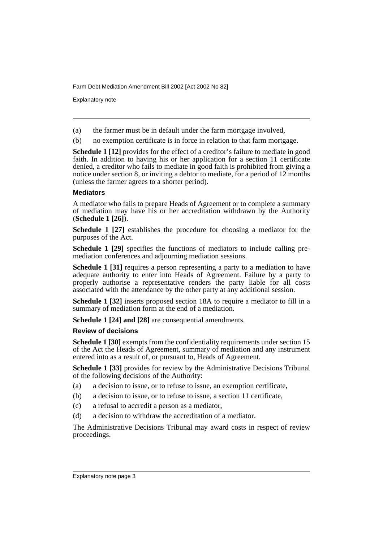Farm Debt Mediation Amendment Bill 2002 [Act 2002 No 82]

Explanatory note

- (a) the farmer must be in default under the farm mortgage involved,
- (b) no exemption certificate is in force in relation to that farm mortgage.

**Schedule 1 [12]** provides for the effect of a creditor's failure to mediate in good faith. In addition to having his or her application for a section 11 certificate denied, a creditor who fails to mediate in good faith is prohibited from giving a notice under section 8, or inviting a debtor to mediate, for a period of 12 months (unless the farmer agrees to a shorter period).

#### **Mediators**

A mediator who fails to prepare Heads of Agreement or to complete a summary of mediation may have his or her accreditation withdrawn by the Authority (**Schedule 1 [26]**).

**Schedule 1 [27]** establishes the procedure for choosing a mediator for the purposes of the Act.

**Schedule 1 [29]** specifies the functions of mediators to include calling premediation conferences and adjourning mediation sessions.

**Schedule 1 [31]** requires a person representing a party to a mediation to have adequate authority to enter into Heads of Agreement. Failure by a party to properly authorise a representative renders the party liable for all costs associated with the attendance by the other party at any additional session.

**Schedule 1 [32]** inserts proposed section 18A to require a mediator to fill in a summary of mediation form at the end of a mediation.

**Schedule 1 [24] and [28]** are consequential amendments.

#### **Review of decisions**

**Schedule 1 [30]** exempts from the confidentiality requirements under section 15 of the Act the Heads of Agreement, summary of mediation and any instrument entered into as a result of, or pursuant to, Heads of Agreement.

**Schedule 1 [33]** provides for review by the Administrative Decisions Tribunal of the following decisions of the Authority:

- (a) a decision to issue, or to refuse to issue, an exemption certificate,
- (b) a decision to issue, or to refuse to issue, a section 11 certificate,
- (c) a refusal to accredit a person as a mediator,
- (d) a decision to withdraw the accreditation of a mediator.

The Administrative Decisions Tribunal may award costs in respect of review proceedings.